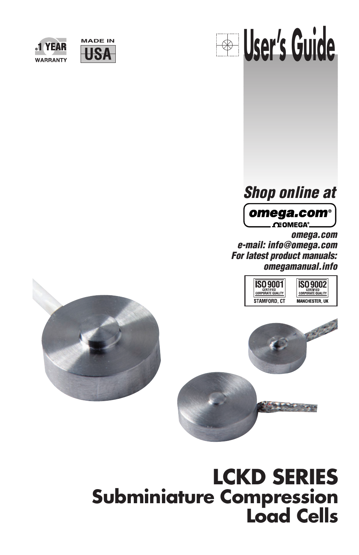





# **Shop online at**



**omega.com e-mail: info@omega.com For latest product manuals: omegamanual.info**





# **LCKD SERIES Subminiature Compression Load Cells**

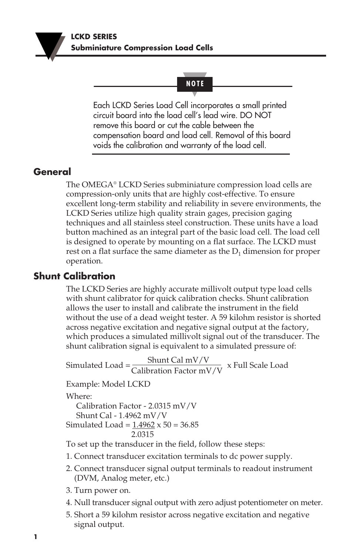### **NOTE**

Each LCKD Series Load Cell incorporates a small printed circuit board into the load cell's lead wire. DO NOT remove this board or cut the cable between the compensation board and load cell. Removal of this board voids the calibration and warranty of the load cell.

## **General**

The OMEGA® LCKD Series subminiature compression load cells are compression-only units that are highly cost-effective. To ensure excellent long-term stability and reliability in severe environments, the LCKD Series utilize high quality strain gages, precision gaging techniques and all stainless steel construction. These units have a load button machined as an integral part of the basic load cell. The load cell is designed to operate by mounting on a flat surface. The LCKD must rest on a flat surface the same diameter as the  $D_1$  dimension for proper operation.

## **Shunt Calibration**

The LCKD Series are highly accurate millivolt output type load cells with shunt calibrator for quick calibration checks. Shunt calibration allows the user to install and calibrate the instrument in the field without the use of a dead weight tester. A 59 kilohm resistor is shorted across negative excitation and negative signal output at the factory, which produces a simulated millivolt signal out of the transducer. The shunt calibration signal is equivalent to a simulated pressure of:

Simulated Load =  $\frac{\text{Shunt Cal mV/V}}{\text{Calibration Factor mV/V}}$  x Full Scale Load

Example: Model LCKD

Where: Calibration Factor - 2.0315 mV/V Shunt Cal - 1.4962 mV/V Simulated Load =  $1.4962 \times 50 = 36.85$ 2.0315

To set up the transducer in the field, follow these steps:

- 1. Connect transducer excitation terminals to dc power supply.
- 2. Connect transducer signal output terminals to readout instrument (DVM, Analog meter, etc.)
- 3. Turn power on.
- 4. Null transducer signal output with zero adjust potentiometer on meter.
- 5. Short a 59 kilohm resistor across negative excitation and negative signal output.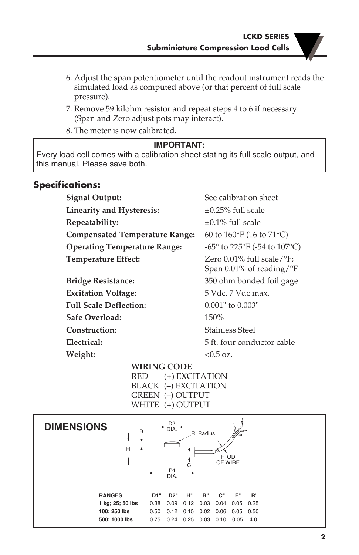- 6. Adjust the span potentiometer until the readout instrument reads the simulated load as computed above (or that percent of full scale pressure).
- 7. Remove 59 kilohm resistor and repeat steps 4 to 6 if necessary. (Span and Zero adjust pots may interact).
- 8. The meter is now calibrated.

### **IMPORTANT:**

Every load cell comes with a calibration sheet stating its full scale output, and this manual. Please save both.

## **Specifications:**

| Signal Output:                        | See calibration sheet                                                         |
|---------------------------------------|-------------------------------------------------------------------------------|
| <b>Linearity and Hysteresis:</b>      | $\pm 0.25\%$ full scale                                                       |
| Repeatability:                        | $+0.1\%$ full scale                                                           |
| <b>Compensated Temperature Range:</b> | 60 to $160^{\circ}$ F (16 to $71^{\circ}$ C)                                  |
| <b>Operating Temperature Range:</b>   | $-65^{\circ}$ to 225 $^{\circ}$ F (-54 to 107 $^{\circ}$ C)                   |
| Temperature Effect:                   | Zero $0.01\%$ full scale/ $\degree$ F;<br>Span 0.01% of reading/ $\mathrm{F}$ |
| <b>Bridge Resistance:</b>             | 350 ohm bonded foil gage                                                      |
| <b>Excitation Voltage:</b>            | 5 Vdc, 7 Vdc max.                                                             |
| <b>Full Scale Deflection:</b>         | $0.001"$ to $0.003"$                                                          |
| Safe Overload:                        | 150%                                                                          |
| Construction:                         | <b>Stainless Steel</b>                                                        |
| Electrical:                           | 5 ft. four conductor cable                                                    |
| Weight:                               | $< 0.5$ oz.                                                                   |

**WIRING CODE** RED (+) EXCITATION BLACK (–) EXCITATION GREEN (–) OUTPUT WHITE (+) OUTPUT